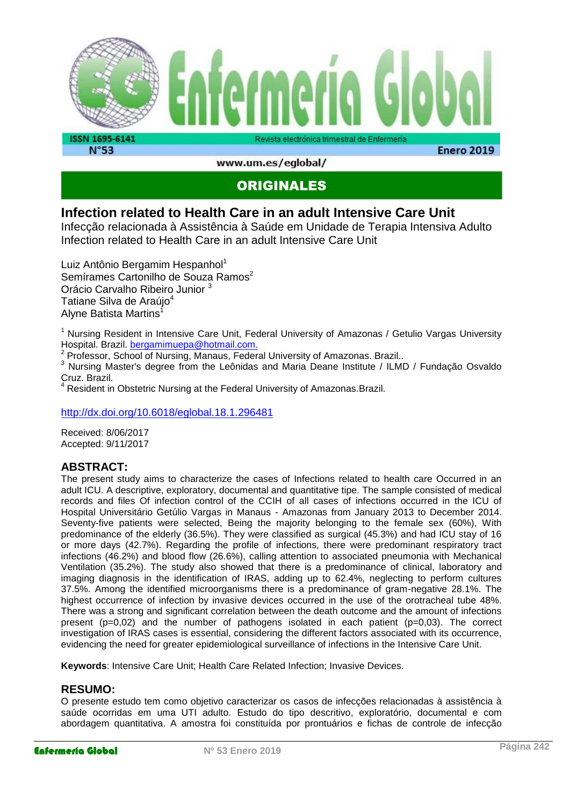

www.um.es/eglobal/

## ORIGINALES

### **Infection related to Health Care in an adult Intensive Care Unit**

Infecção relacionada à Assistência à Saúde em Unidade de Terapia Intensiva Adulto Infection related to Health Care in an adult Intensive Care Unit

Luiz Antônio Bergamim Hespanhol<sup>1</sup> Semírames Cartonilho de Souza Ramos<sup>2</sup> Orácio Carvalho Ribeiro Junior <sup>3</sup> Tatiane Silva de Araújo<sup>4</sup> Alyne Batista Martins<sup>1</sup>

<sup>1</sup> Nursing Resident in Intensive Care Unit, Federal University of Amazonas / Getulio Vargas University Hospital. Brazil. [bergamimuepa@hotmail.com.](mailto:bergamimuepa@hotmail.com)

<sup>2</sup> Professor, School of Nursing, Manaus, Federal University of Amazonas. Brazil..

<sup>3</sup> Nursing Master's degree from the Leônidas and Maria Deane Institute / ILMD / Fundação Osvaldo Cruz. Brazil.

<sup>4</sup> Resident in Obstetric Nursing at the Federal University of Amazonas.Brazil.

<http://dx.doi.org/10.6018/eglobal.18.1.296481>

Received: 8/06/2017 Accepted: 9/11/2017

### **ABSTRACT:**

The present study aims to characterize the cases of Infections related to health care Occurred in an adult ICU. A descriptive, exploratory, documental and quantitative tipe. The sample consisted of medical records and files Of infection control of the CCIH of all cases of infections occurred in the ICU of Hospital Universitário Getúlio Vargas in Manaus - Amazonas from January 2013 to December 2014. Seventy-five patients were selected, Being the majority belonging to the female sex (60%), With predominance of the elderly (36.5%). They were classified as surgical (45.3%) and had ICU stay of 16 or more days (42.7%). Regarding the profile of infections, there were predominant respiratory tract infections (46.2%) and blood flow (26.6%), calling attention to associated pneumonia with Mechanical Ventilation (35.2%). The study also showed that there is a predominance of clinical, laboratory and imaging diagnosis in the identification of IRAS, adding up to 62.4%, neglecting to perform cultures 37.5%. Among the identified microorganisms there is a predominance of gram-negative 28.1%. The highest occurrence of infection by invasive devices occurred in the use of the orotracheal tube 48%. There was a strong and significant correlation between the death outcome and the amount of infections present (p=0,02) and the number of pathogens isolated in each patient (p=0,03). The correct investigation of IRAS cases is essential, considering the different factors associated with its occurrence, evidencing the need for greater epidemiological surveillance of infections in the Intensive Care Unit.

**Keywords**: Intensive Care Unit; Health Care Related Infection; Invasive Devices.

#### **RESUMO:**

O presente estudo tem como objetivo caracterizar os casos de infecções relacionadas à assistência à saúde ocorridas em uma UTI adulto. Estudo do tipo descritivo, exploratório, documental e com abordagem quantitativa. A amostra foi constituída por prontuários e fichas de controle de infecção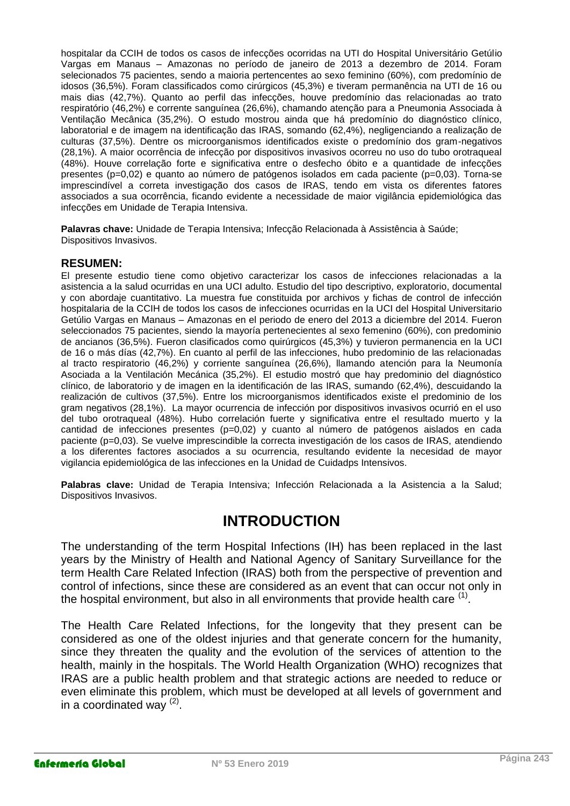hospitalar da CCIH de todos os casos de infecções ocorridas na UTI do Hospital Universitário Getúlio Vargas em Manaus – Amazonas no período de janeiro de 2013 a dezembro de 2014. Foram selecionados 75 pacientes, sendo a maioria pertencentes ao sexo feminino (60%), com predomínio de idosos (36,5%). Foram classificados como cirúrgicos (45,3%) e tiveram permanência na UTI de 16 ou mais dias (42,7%). Quanto ao perfil das infecções, houve predomínio das relacionadas ao trato respiratório (46,2%) e corrente sanguínea (26,6%), chamando atenção para a Pneumonia Associada à Ventilação Mecânica (35,2%). O estudo mostrou ainda que há predomínio do diagnóstico clínico, laboratorial e de imagem na identificação das IRAS, somando (62,4%), negligenciando a realização de culturas (37,5%). Dentre os microorganismos identificados existe o predomínio dos gram-negativos (28,1%). A maior ocorrência de infecção por dispositivos invasivos ocorreu no uso do tubo orotraqueal (48%). Houve correlação forte e significativa entre o desfecho óbito e a quantidade de infecções presentes (p=0,02) e quanto ao número de patógenos isolados em cada paciente (p=0,03). Torna-se imprescindível a correta investigação dos casos de IRAS, tendo em vista os diferentes fatores associados a sua ocorrência, ficando evidente a necessidade de maior vigilância epidemiológica das infecções em Unidade de Terapia Intensiva.

**Palavras chave:** Unidade de Terapia Intensiva; Infecção Relacionada à Assistência à Saúde; Dispositivos Invasivos.

#### **RESUMEN:**

El presente estudio tiene como objetivo caracterizar los casos de infecciones relacionadas a la asistencia a la salud ocurridas en una UCI adulto. Estudio del tipo descriptivo, exploratorio, documental y con abordaje cuantitativo. La muestra fue constituida por archivos y fichas de control de infección hospitalaria de la CCIH de todos los casos de infecciones ocurridas en la UCI del Hospital Universitario Getúlio Vargas en Manaus – Amazonas en el periodo de enero del 2013 a diciembre del 2014. Fueron seleccionados 75 pacientes, siendo la mayoría pertenecientes al sexo femenino (60%), con predominio de ancianos (36,5%). Fueron clasificados como quirúrgicos (45,3%) y tuvieron permanencia en la UCI de 16 o más días (42,7%). En cuanto al perfil de las infecciones, hubo predominio de las relacionadas al tracto respiratorio (46,2%) y corriente sanguínea (26,6%), llamando atención para la Neumonía Asociada a la Ventilación Mecánica (35,2%). El estudio mostró que hay predominio del diagnóstico clínico, de laboratorio y de imagen en la identificación de las IRAS, sumando (62,4%), descuidando la realización de cultivos (37,5%). Entre los microorganismos identificados existe el predominio de los gram negativos (28,1%). La mayor ocurrencia de infección por dispositivos invasivos ocurrió en el uso del tubo orotraqueal (48%). Hubo correlación fuerte y significativa entre el resultado muerto y la cantidad de infecciones presentes (p=0,02) y cuanto al número de patógenos aislados en cada paciente (p=0,03). Se vuelve imprescindible la correcta investigación de los casos de IRAS, atendiendo a los diferentes factores asociados a su ocurrencia, resultando evidente la necesidad de mayor vigilancia epidemiológica de las infecciones en la Unidad de Cuidadps Intensivos.

**Palabras clave:** Unidad de Terapia Intensiva; Infección Relacionada a la Asistencia a la Salud; Dispositivos Invasivos.

## **INTRODUCTION**

The understanding of the term Hospital Infections (IH) has been replaced in the last years by the Ministry of Health and National Agency of Sanitary Surveillance for the term Health Care Related Infection (IRAS) both from the perspective of prevention and control of infections, since these are considered as an event that can occur not only in the hospital environment, but also in all environments that provide health care  $^{\text{\tiny{(1)}}}.$ 

The Health Care Related Infections, for the longevity that they present can be considered as one of the oldest injuries and that generate concern for the humanity, since they threaten the quality and the evolution of the services of attention to the health, mainly in the hospitals. The World Health Organization (WHO) recognizes that IRAS are a public health problem and that strategic actions are needed to reduce or even eliminate this problem, which must be developed at all levels of government and in a coordinated way  $(2)$ .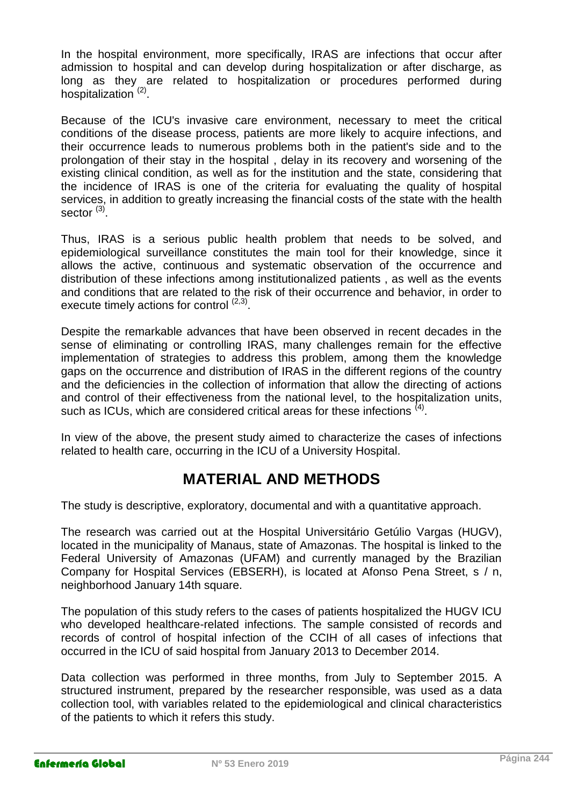In the hospital environment, more specifically, IRAS are infections that occur after admission to hospital and can develop during hospitalization or after discharge, as long as they are related to hospitalization or procedures performed during hospitalization<sup>(2)</sup>.

Because of the ICU's invasive care environment, necessary to meet the critical conditions of the disease process, patients are more likely to acquire infections, and their occurrence leads to numerous problems both in the patient's side and to the prolongation of their stay in the hospital , delay in its recovery and worsening of the existing clinical condition, as well as for the institution and the state, considering that the incidence of IRAS is one of the criteria for evaluating the quality of hospital services, in addition to greatly increasing the financial costs of the state with the health sector <sup>(3)</sup>.

Thus, IRAS is a serious public health problem that needs to be solved, and epidemiological surveillance constitutes the main tool for their knowledge, since it allows the active, continuous and systematic observation of the occurrence and distribution of these infections among institutionalized patients , as well as the events and conditions that are related to the risk of their occurrence and behavior, in order to execute timely actions for control <sup>(2,3)</sup>.

Despite the remarkable advances that have been observed in recent decades in the sense of eliminating or controlling IRAS, many challenges remain for the effective implementation of strategies to address this problem, among them the knowledge gaps on the occurrence and distribution of IRAS in the different regions of the country and the deficiencies in the collection of information that allow the directing of actions and control of their effectiveness from the national level, to the hospitalization units, such as ICUs, which are considered critical areas for these infections  $^{(4)}$ .

In view of the above, the present study aimed to characterize the cases of infections related to health care, occurring in the ICU of a University Hospital.

# **MATERIAL AND METHODS**

The study is descriptive, exploratory, documental and with a quantitative approach.

The research was carried out at the Hospital Universitário Getúlio Vargas (HUGV), located in the municipality of Manaus, state of Amazonas. The hospital is linked to the Federal University of Amazonas (UFAM) and currently managed by the Brazilian Company for Hospital Services (EBSERH), is located at Afonso Pena Street, s / n, neighborhood January 14th square.

The population of this study refers to the cases of patients hospitalized the HUGV ICU who developed healthcare-related infections. The sample consisted of records and records of control of hospital infection of the CCIH of all cases of infections that occurred in the ICU of said hospital from January 2013 to December 2014.

Data collection was performed in three months, from July to September 2015. A structured instrument, prepared by the researcher responsible, was used as a data collection tool, with variables related to the epidemiological and clinical characteristics of the patients to which it refers this study.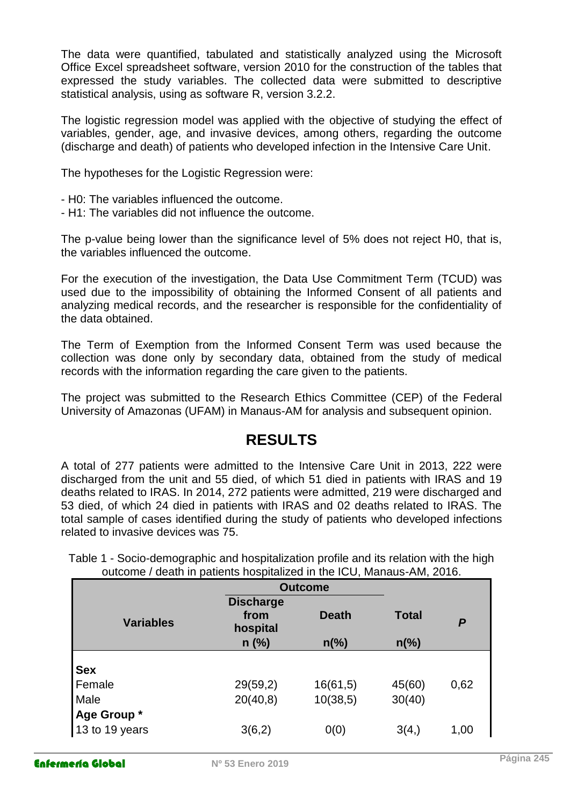The data were quantified, tabulated and statistically analyzed using the Microsoft Office Excel spreadsheet software, version 2010 for the construction of the tables that expressed the study variables. The collected data were submitted to descriptive statistical analysis, using as software R, version 3.2.2.

The logistic regression model was applied with the objective of studying the effect of variables, gender, age, and invasive devices, among others, regarding the outcome (discharge and death) of patients who developed infection in the Intensive Care Unit.

The hypotheses for the Logistic Regression were:

- H0: The variables influenced the outcome.
- H1: The variables did not influence the outcome.

The p-value being lower than the significance level of 5% does not reject H0, that is, the variables influenced the outcome.

For the execution of the investigation, the Data Use Commitment Term (TCUD) was used due to the impossibility of obtaining the Informed Consent of all patients and analyzing medical records, and the researcher is responsible for the confidentiality of the data obtained.

The Term of Exemption from the Informed Consent Term was used because the collection was done only by secondary data, obtained from the study of medical records with the information regarding the care given to the patients.

The project was submitted to the Research Ethics Committee (CEP) of the Federal University of Amazonas (UFAM) in Manaus-AM for analysis and subsequent opinion.

## **RESULTS**

A total of 277 patients were admitted to the Intensive Care Unit in 2013, 222 were discharged from the unit and 55 died, of which 51 died in patients with IRAS and 19 deaths related to IRAS. In 2014, 272 patients were admitted, 219 were discharged and 53 died, of which 24 died in patients with IRAS and 02 deaths related to IRAS. The total sample of cases identified during the study of patients who developed infections related to invasive devices was 75.

|                  | <b>Outcome</b>                       |                |                |      |
|------------------|--------------------------------------|----------------|----------------|------|
| <b>Variables</b> | <b>Discharge</b><br>from<br>hospital | <b>Death</b>   | <b>Total</b>   | P    |
|                  | $n$ (%)                              | $n\frac{6}{6}$ | $n\frac{6}{6}$ |      |
| <b>Sex</b>       |                                      |                |                |      |
| Female           | 29(59,2)                             | 16(61,5)       | 45(60)         | 0,62 |
| Male             | 20(40,8)                             | 10(38,5)       | 30(40)         |      |
| Age Group *      |                                      |                |                |      |
| 13 to 19 years   | 3(6,2)                               | 0(0)           | 3(4, )         | 1,00 |

Table 1 - Socio-demographic and hospitalization profile and its relation with the high outcome / death in patients hospitalized in the ICU, Manaus-AM, 2016.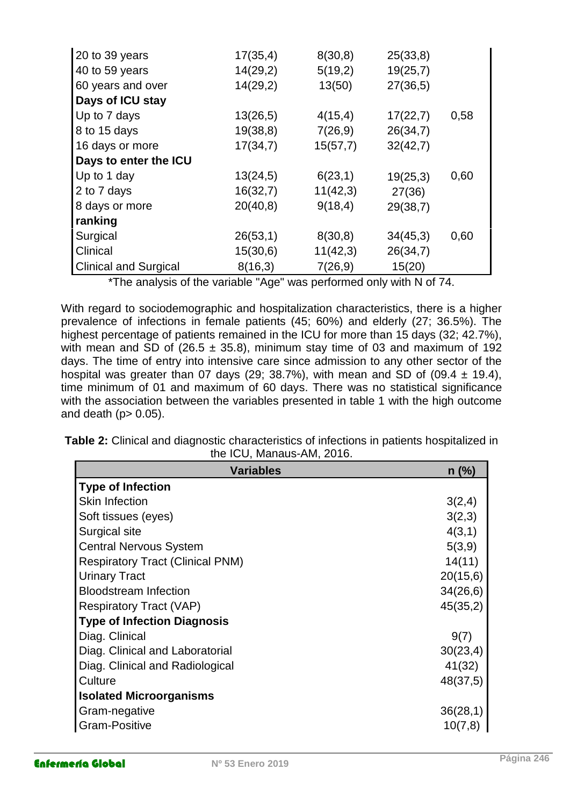| 20 to 39 years               | 17(35,4) | 8(30,8)  | 25(33,8) |      |
|------------------------------|----------|----------|----------|------|
| 40 to 59 years               | 14(29,2) | 5(19,2)  | 19(25,7) |      |
| 60 years and over            | 14(29,2) | 13(50)   | 27(36,5) |      |
| Days of ICU stay             |          |          |          |      |
| Up to 7 days                 | 13(26,5) | 4(15,4)  | 17(22,7) | 0,58 |
| 8 to 15 days                 | 19(38,8) | 7(26,9)  | 26(34,7) |      |
| 16 days or more              | 17(34,7) | 15(57,7) | 32(42,7) |      |
| Days to enter the ICU        |          |          |          |      |
| Up to 1 day                  | 13(24,5) | 6(23,1)  | 19(25,3) | 0,60 |
| 2 to 7 days                  | 16(32,7) | 11(42,3) | 27(36)   |      |
| 8 days or more               | 20(40,8) | 9(18,4)  | 29(38,7) |      |
| ranking                      |          |          |          |      |
| Surgical                     | 26(53,1) | 8(30,8)  | 34(45,3) | 0,60 |
| Clinical                     | 15(30,6) | 11(42,3) | 26(34,7) |      |
| <b>Clinical and Surgical</b> | 8(16,3)  | 7(26,9)  | 15(20)   |      |

\*The analysis of the variable "Age" was performed only with N of 74.

With regard to sociodemographic and hospitalization characteristics, there is a higher prevalence of infections in female patients (45; 60%) and elderly (27; 36.5%). The highest percentage of patients remained in the ICU for more than 15 days (32; 42.7%), with mean and SD of (26.5  $\pm$  35.8), minimum stay time of 03 and maximum of 192 days. The time of entry into intensive care since admission to any other sector of the hospital was greater than 07 days (29; 38.7%), with mean and SD of (09.4  $\pm$  19.4), time minimum of 01 and maximum of 60 days. There was no statistical significance with the association between the variables presented in table 1 with the high outcome and death ( $p$  > 0.05).

**Table 2:** Clinical and diagnostic characteristics of infections in patients hospitalized in the ICU, Manaus-AM, 2016.

| <b>Variables</b>                        | $n$ (%)  |
|-----------------------------------------|----------|
| <b>Type of Infection</b>                |          |
| <b>Skin Infection</b>                   | 3(2,4)   |
| Soft tissues (eyes)                     | 3(2,3)   |
| Surgical site                           | 4(3,1)   |
| <b>Central Nervous System</b>           | 5(3,9)   |
| <b>Respiratory Tract (Clinical PNM)</b> | 14(11)   |
| <b>Urinary Tract</b>                    | 20(15,6) |
| <b>Bloodstream Infection</b>            | 34(26,6) |
| <b>Respiratory Tract (VAP)</b>          | 45(35,2) |
| <b>Type of Infection Diagnosis</b>      |          |
| Diag. Clinical                          | 9(7)     |
| Diag. Clinical and Laboratorial         | 30(23,4) |
| Diag. Clinical and Radiological         | 41(32)   |
| Culture                                 | 48(37,5) |
| <b>Isolated Microorganisms</b>          |          |
| Gram-negative                           | 36(28,1) |
| <b>Gram-Positive</b>                    | 10(7,8)  |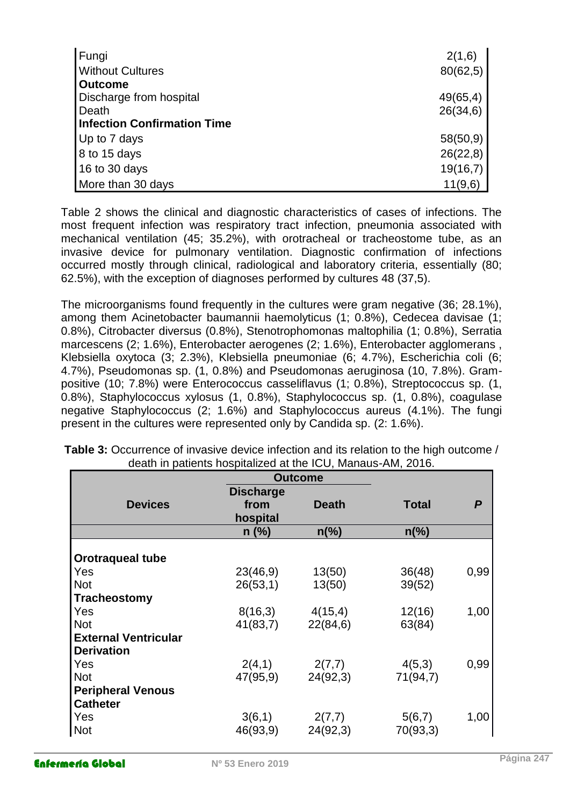| Fungi                              | 2(1,6)   |
|------------------------------------|----------|
| <b>Without Cultures</b>            | 80(62,5) |
| <b>Outcome</b>                     |          |
| Discharge from hospital            | 49(65,4) |
| Death                              | 26(34,6) |
| <b>Infection Confirmation Time</b> |          |
| Up to 7 days                       | 58(50,9) |
| 8 to 15 days                       | 26(22,8) |
| 16 to 30 days                      | 19(16,7) |
| More than 30 days                  | 11(9,6)  |

Table 2 shows the clinical and diagnostic characteristics of cases of infections. The most frequent infection was respiratory tract infection, pneumonia associated with mechanical ventilation (45; 35.2%), with orotracheal or tracheostome tube, as an invasive device for pulmonary ventilation. Diagnostic confirmation of infections occurred mostly through clinical, radiological and laboratory criteria, essentially (80; 62.5%), with the exception of diagnoses performed by cultures 48 (37,5).

The microorganisms found frequently in the cultures were gram negative (36; 28.1%), among them Acinetobacter baumannii haemolyticus (1; 0.8%), Cedecea davisae (1; 0.8%), Citrobacter diversus (0.8%), Stenotrophomonas maltophilia (1; 0.8%), Serratia marcescens (2; 1.6%), Enterobacter aerogenes (2; 1.6%), Enterobacter agglomerans , Klebsiella oxytoca (3; 2.3%), Klebsiella pneumoniae (6; 4.7%), Escherichia coli (6; 4.7%), Pseudomonas sp. (1, 0.8%) and Pseudomonas aeruginosa (10, 7.8%). Grampositive (10; 7.8%) were Enterococcus casseliflavus (1; 0.8%), Streptococcus sp. (1, 0.8%), Staphylococcus xylosus (1, 0.8%), Staphylococcus sp. (1, 0.8%), coagulase negative Staphylococcus (2; 1.6%) and Staphylococcus aureus (4.1%). The fungi present in the cultures were represented only by Candida sp. (2: 1.6%).

|                             | <b>Outcome</b>   |                |                |                  |
|-----------------------------|------------------|----------------|----------------|------------------|
|                             | <b>Discharge</b> |                |                |                  |
| <b>Devices</b>              | from             | <b>Death</b>   | <b>Total</b>   | $\boldsymbol{P}$ |
|                             | hospital         |                |                |                  |
|                             | $n$ (%)          | $n\frac{6}{6}$ | $n\frac{6}{6}$ |                  |
|                             |                  |                |                |                  |
| <b>Orotraqueal tube</b>     |                  |                |                |                  |
| Yes                         | 23(46,9)         | 13(50)         | 36(48)         | 0,99             |
| <b>Not</b>                  | 26(53,1)         | 13(50)         | 39(52)         |                  |
| <b>Tracheostomy</b>         |                  |                |                |                  |
| Yes                         | 8(16,3)          | 4(15,4)        | 12(16)         | 1,00             |
| <b>Not</b>                  | 41(83,7)         | 22(84,6)       | 63(84)         |                  |
| <b>External Ventricular</b> |                  |                |                |                  |
| <b>Derivation</b>           |                  |                |                |                  |
| Yes                         | 2(4,1)           | 2(7,7)         | 4(5,3)         | 0,99             |
| <b>Not</b>                  | 47(95,9)         | 24(92,3)       | 71(94,7)       |                  |
| <b>Peripheral Venous</b>    |                  |                |                |                  |
| <b>Catheter</b>             |                  |                |                |                  |
| Yes                         | 3(6,1)           | 2(7,7)         | 5(6,7)         | 1,00             |
| <b>Not</b>                  | 46(93,9)         | 24(92,3)       | 70(93,3)       |                  |

**Table 3:** Occurrence of invasive device infection and its relation to the high outcome / death in patients hospitalized at the ICU, Manaus-AM, 2016.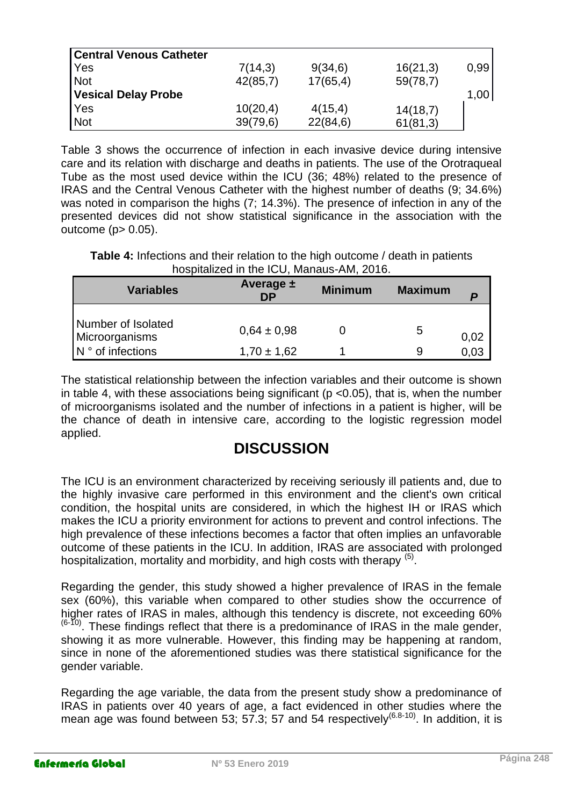| <b>Central Venous Catheter</b> |          |          |          |      |
|--------------------------------|----------|----------|----------|------|
| <b>Yes</b>                     | 7(14,3)  | 9(34,6)  | 16(21,3) | 0,99 |
| <b>Not</b>                     | 42(85,7) | 17(65,4) | 59(78,7) |      |
| Vesical Delay Probe            |          |          |          | 1,00 |
| Yes                            | 10(20,4) | 4(15,4)  | 14(18,7) |      |
| Not                            | 39(79,6) | 22(84,6) | 61(81,3) |      |

Table 3 shows the occurrence of infection in each invasive device during intensive care and its relation with discharge and deaths in patients. The use of the Orotraqueal Tube as the most used device within the ICU (36; 48%) related to the presence of IRAS and the Central Venous Catheter with the highest number of deaths (9; 34.6%) was noted in comparison the highs (7; 14.3%). The presence of infection in any of the presented devices did not show statistical significance in the association with the outcome (p> 0.05).

**Table 4:** Infections and their relation to the high outcome / death in patients hospitalized in the ICU, Manaus-AM, 2016.

| <b>Variables</b>                     | Average $\pm$<br><b>DP</b> | <b>Minimum</b> | <b>Maximum</b> |      |
|--------------------------------------|----------------------------|----------------|----------------|------|
| Number of Isolated<br>Microorganisms | $0.64 \pm 0.98$            |                | 5              | 0,02 |
| N ° of infections                    | $1,70 \pm 1,62$            |                | 9              |      |

The statistical relationship between the infection variables and their outcome is shown in table 4, with these associations being significant ( $p$  <0.05), that is, when the number of microorganisms isolated and the number of infections in a patient is higher, will be the chance of death in intensive care, according to the logistic regression model applied.

# **DISCUSSION**

The ICU is an environment characterized by receiving seriously ill patients and, due to the highly invasive care performed in this environment and the client's own critical condition, the hospital units are considered, in which the highest IH or IRAS which makes the ICU a priority environment for actions to prevent and control infections. The high prevalence of these infections becomes a factor that often implies an unfavorable outcome of these patients in the ICU. In addition, IRAS are associated with prolonged hospitalization, mortality and morbidity, and high costs with therapy <sup>(5)</sup>.

Regarding the gender, this study showed a higher prevalence of IRAS in the female sex (60%), this variable when compared to other studies show the occurrence of higher rates of IRAS in males, although this tendency is discrete, not exceeding 60%  $(6-10)$ . These findings reflect that there is a predominance of IRAS in the male gender, showing it as more vulnerable. However, this finding may be happening at random, since in none of the aforementioned studies was there statistical significance for the gender variable.

Regarding the age variable, the data from the present study show a predominance of IRAS in patients over 40 years of age, a fact evidenced in other studies where the mean age was found between 53; 57.3; 57 and 54 respectively<sup>(6.8-10)</sup>. In addition, it is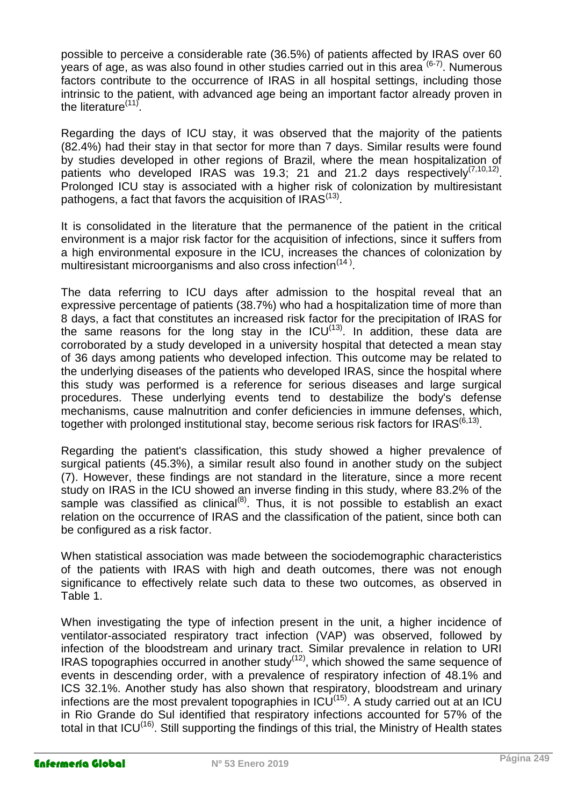possible to perceive a considerable rate (36.5%) of patients affected by IRAS over 60 years of age, as was also found in other studies carried out in this area <sup>(6-7)</sup>. Numerous factors contribute to the occurrence of IRAS in all hospital settings, including those intrinsic to the patient, with advanced age being an important factor already proven in the literature<sup>(11)</sup>.

Regarding the days of ICU stay, it was observed that the majority of the patients (82.4%) had their stay in that sector for more than 7 days. Similar results were found by studies developed in other regions of Brazil, where the mean hospitalization of patients who developed IRAS was 19.3; 21 and 21.2 days respectively<sup>(7,10,12)</sup> Prolonged ICU stay is associated with a higher risk of colonization by multiresistant pathogens, a fact that favors the acquisition of IRAS $^{(13)}$ .

It is consolidated in the literature that the permanence of the patient in the critical environment is a major risk factor for the acquisition of infections, since it suffers from a high environmental exposure in the ICU, increases the chances of colonization by multiresistant microorganisms and also cross infection<sup>(14)</sup>.

The data referring to ICU days after admission to the hospital reveal that an expressive percentage of patients (38.7%) who had a hospitalization time of more than 8 days, a fact that constitutes an increased risk factor for the precipitation of IRAS for the same reasons for the long stay in the ICU<sup>(13)</sup>. In addition, these data are corroborated by a study developed in a university hospital that detected a mean stay of 36 days among patients who developed infection. This outcome may be related to the underlying diseases of the patients who developed IRAS, since the hospital where this study was performed is a reference for serious diseases and large surgical procedures. These underlying events tend to destabilize the body's defense mechanisms, cause malnutrition and confer deficiencies in immune defenses, which, together with prolonged institutional stay, become serious risk factors for IRAS $^{\left(6,13\right)}$ .

Regarding the patient's classification, this study showed a higher prevalence of surgical patients (45.3%), a similar result also found in another study on the subject (7). However, these findings are not standard in the literature, since a more recent study on IRAS in the ICU showed an inverse finding in this study, where 83.2% of the sample was classified as clinical<sup>(8)</sup>. Thus, it is not possible to establish an exact relation on the occurrence of IRAS and the classification of the patient, since both can be configured as a risk factor.

When statistical association was made between the sociodemographic characteristics of the patients with IRAS with high and death outcomes, there was not enough significance to effectively relate such data to these two outcomes, as observed in Table 1.

When investigating the type of infection present in the unit, a higher incidence of ventilator-associated respiratory tract infection (VAP) was observed, followed by infection of the bloodstream and urinary tract. Similar prevalence in relation to URI IRAS topographies occurred in another study $(12)$ , which showed the same sequence of events in descending order, with a prevalence of respiratory infection of 48.1% and ICS 32.1%. Another study has also shown that respiratory, bloodstream and urinary infections are the most prevalent topographies in  $ICU^{(15)}$ . A study carried out at an ICU in Rio Grande do Sul identified that respiratory infections accounted for 57% of the total in that ICU<sup>(16)</sup>. Still supporting the findings of this trial, the Ministry of Health states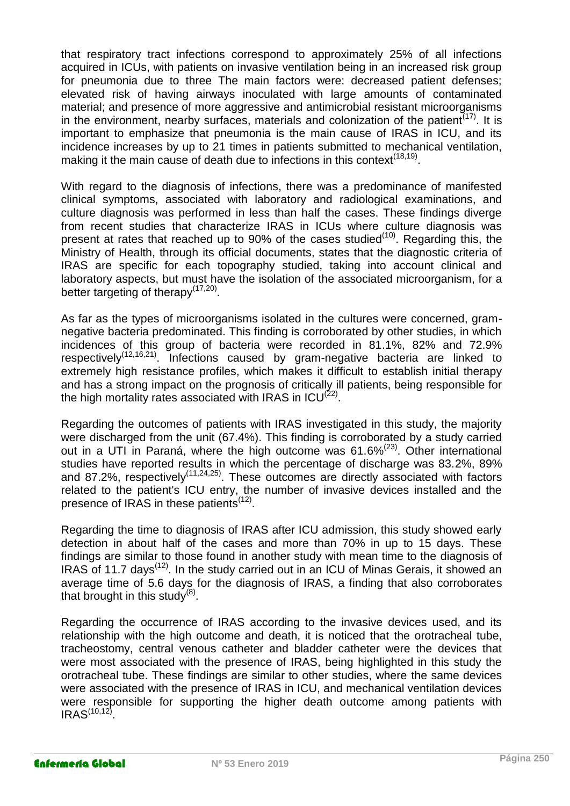that respiratory tract infections correspond to approximately 25% of all infections acquired in ICUs, with patients on invasive ventilation being in an increased risk group for pneumonia due to three The main factors were: decreased patient defenses; elevated risk of having airways inoculated with large amounts of contaminated material; and presence of more aggressive and antimicrobial resistant microorganisms in the environment, nearby surfaces, materials and colonization of the patient<sup> $(17)$ </sup>. It is important to emphasize that pneumonia is the main cause of IRAS in ICU, and its incidence increases by up to 21 times in patients submitted to mechanical ventilation, making it the main cause of death due to infections in this context<sup>(18,19)</sup>.

With regard to the diagnosis of infections, there was a predominance of manifested clinical symptoms, associated with laboratory and radiological examinations, and culture diagnosis was performed in less than half the cases. These findings diverge from recent studies that characterize IRAS in ICUs where culture diagnosis was present at rates that reached up to 90% of the cases studied $(10)$ . Regarding this, the Ministry of Health, through its official documents, states that the diagnostic criteria of IRAS are specific for each topography studied, taking into account clinical and laboratory aspects, but must have the isolation of the associated microorganism, for a better targeting of therapy<sup>(17,20)</sup>.

As far as the types of microorganisms isolated in the cultures were concerned, gramnegative bacteria predominated. This finding is corroborated by other studies, in which incidences of this group of bacteria were recorded in 81.1%, 82% and 72.9% respectively<sup>(12,16,21)</sup>. Infections caused by gram-negative bacteria are linked to extremely high resistance profiles, which makes it difficult to establish initial therapy and has a strong impact on the prognosis of critically ill patients, being responsible for the high mortality rates associated with IRAS in  $ICU^{(22)}$ .

Regarding the outcomes of patients with IRAS investigated in this study, the majority were discharged from the unit (67.4%). This finding is corroborated by a study carried out in a UTI in Paraná, where the high outcome was  $61.6\%^{(23)}$ . Other international studies have reported results in which the percentage of discharge was 83.2%, 89% and 87.2%, respectively<sup>(11,24,25)</sup>. These outcomes are directly associated with factors related to the patient's ICU entry, the number of invasive devices installed and the presence of IRAS in these patients<sup>(12)</sup>.

Regarding the time to diagnosis of IRAS after ICU admission, this study showed early detection in about half of the cases and more than 70% in up to 15 days. These findings are similar to those found in another study with mean time to the diagnosis of IRAS of 11.7 days<sup>(12)</sup>. In the study carried out in an ICU of Minas Gerais, it showed an average time of 5.6 days for the diagnosis of IRAS, a finding that also corroborates that brought in this study $^{(8)}$ .

Regarding the occurrence of IRAS according to the invasive devices used, and its relationship with the high outcome and death, it is noticed that the orotracheal tube, tracheostomy, central venous catheter and bladder catheter were the devices that were most associated with the presence of IRAS, being highlighted in this study the orotracheal tube. These findings are similar to other studies, where the same devices were associated with the presence of IRAS in ICU, and mechanical ventilation devices were responsible for supporting the higher death outcome among patients with  $IRAS^{(10,12)}$ .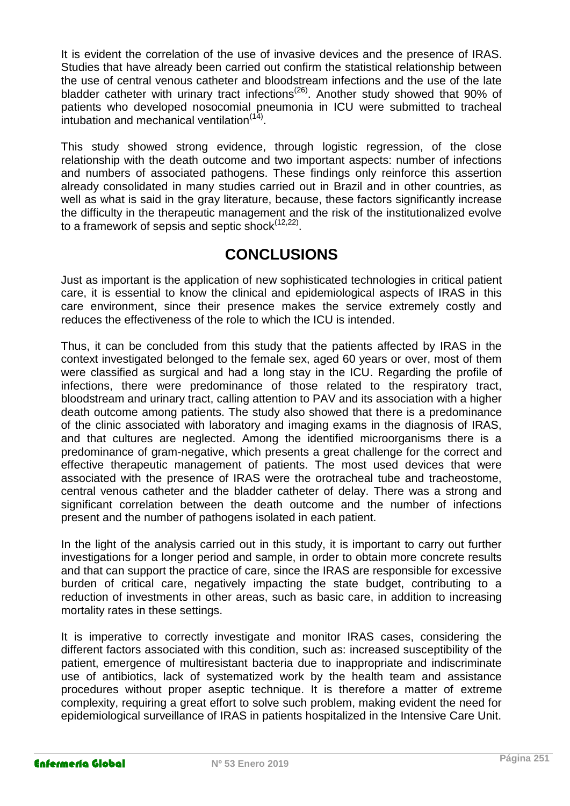It is evident the correlation of the use of invasive devices and the presence of IRAS. Studies that have already been carried out confirm the statistical relationship between the use of central venous catheter and bloodstream infections and the use of the late bladder catheter with urinary tract infections<sup>(26)</sup>. Another study showed that 90% of patients who developed nosocomial pneumonia in ICU were submitted to tracheal intubation and mechanical ventilation<sup>(14)</sup>.

This study showed strong evidence, through logistic regression, of the close relationship with the death outcome and two important aspects: number of infections and numbers of associated pathogens. These findings only reinforce this assertion already consolidated in many studies carried out in Brazil and in other countries, as well as what is said in the gray literature, because, these factors significantly increase the difficulty in the therapeutic management and the risk of the institutionalized evolve to a framework of sepsis and septic shock<sup>(12,22)</sup>.

# **CONCLUSIONS**

Just as important is the application of new sophisticated technologies in critical patient care, it is essential to know the clinical and epidemiological aspects of IRAS in this care environment, since their presence makes the service extremely costly and reduces the effectiveness of the role to which the ICU is intended.

Thus, it can be concluded from this study that the patients affected by IRAS in the context investigated belonged to the female sex, aged 60 years or over, most of them were classified as surgical and had a long stay in the ICU. Regarding the profile of infections, there were predominance of those related to the respiratory tract, bloodstream and urinary tract, calling attention to PAV and its association with a higher death outcome among patients. The study also showed that there is a predominance of the clinic associated with laboratory and imaging exams in the diagnosis of IRAS, and that cultures are neglected. Among the identified microorganisms there is a predominance of gram-negative, which presents a great challenge for the correct and effective therapeutic management of patients. The most used devices that were associated with the presence of IRAS were the orotracheal tube and tracheostome, central venous catheter and the bladder catheter of delay. There was a strong and significant correlation between the death outcome and the number of infections present and the number of pathogens isolated in each patient.

In the light of the analysis carried out in this study, it is important to carry out further investigations for a longer period and sample, in order to obtain more concrete results and that can support the practice of care, since the IRAS are responsible for excessive burden of critical care, negatively impacting the state budget, contributing to a reduction of investments in other areas, such as basic care, in addition to increasing mortality rates in these settings.

It is imperative to correctly investigate and monitor IRAS cases, considering the different factors associated with this condition, such as: increased susceptibility of the patient, emergence of multiresistant bacteria due to inappropriate and indiscriminate use of antibiotics, lack of systematized work by the health team and assistance procedures without proper aseptic technique. It is therefore a matter of extreme complexity, requiring a great effort to solve such problem, making evident the need for epidemiological surveillance of IRAS in patients hospitalized in the Intensive Care Unit.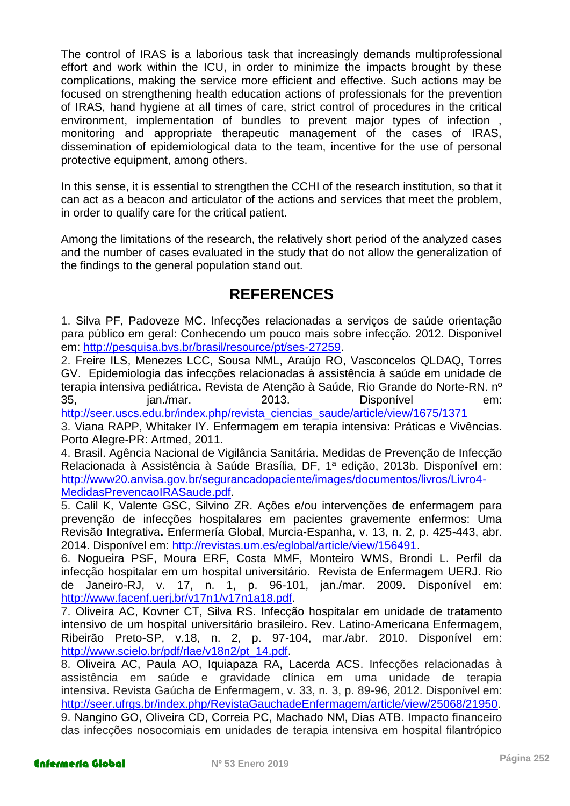The control of IRAS is a laborious task that increasingly demands multiprofessional effort and work within the ICU, in order to minimize the impacts brought by these complications, making the service more efficient and effective. Such actions may be focused on strengthening health education actions of professionals for the prevention of IRAS, hand hygiene at all times of care, strict control of procedures in the critical environment, implementation of bundles to prevent major types of infection , monitoring and appropriate therapeutic management of the cases of IRAS, dissemination of epidemiological data to the team, incentive for the use of personal protective equipment, among others.

In this sense, it is essential to strengthen the CCHI of the research institution, so that it can act as a beacon and articulator of the actions and services that meet the problem, in order to qualify care for the critical patient.

Among the limitations of the research, the relatively short period of the analyzed cases and the number of cases evaluated in the study that do not allow the generalization of the findings to the general population stand out.

# **REFERENCES**

1. Silva PF, Padoveze MC. Infecções relacionadas a serviços de saúde orientação para público em geral: Conhecendo um pouco mais sobre infecção. 2012. Disponível em: [http://pesquisa.bvs.br/brasil/resource/pt/ses-27259.](http://pesquisa.bvs.br/brasil/resource/pt/ses-27259)

2. Freire ILS, Menezes LCC, Sousa NML, Araújo RO, Vasconcelos QLDAQ, Torres GV. Epidemiologia das infecções relacionadas à assistência à saúde em unidade de terapia intensiva pediátrica**.** Revista de Atenção à Saúde, Rio Grande do Norte-RN. nº 35, jan./mar. 2013. Disponível em:

[http://seer.uscs.edu.br/index.php/revista\\_ciencias\\_saude/article/view/1675/1371](http://seer.uscs.edu.br/index.php/revista_ciencias_saude/article/view/1675/1371)

3. Viana RAPP, Whitaker IY. Enfermagem em terapia intensiva: Práticas e Vivências. Porto Alegre-PR: Artmed, 2011.

4. Brasil. Agência Nacional de Vigilância Sanitária. Medidas de Prevenção de Infecção Relacionada à Assistência à Saúde Brasília, DF, 1ª edição, 2013b. Disponível em: [http://www20.anvisa.gov.br/segurancadopaciente/images/documentos/livros/Livro4-](http://www20.anvisa.gov.br/segurancadopaciente/images/documentos/livros/Livro4-MedidasPrevencaoIRASaude.pdf) [MedidasPrevencaoIRASaude.pdf.](http://www20.anvisa.gov.br/segurancadopaciente/images/documentos/livros/Livro4-MedidasPrevencaoIRASaude.pdf)

5. Calil K, Valente GSC, Silvino ZR. Ações e/ou intervenções de enfermagem para prevenção de infecções hospitalares em pacientes gravemente enfermos: Uma Revisão Integrativa**.** Enfermería Global, Murcia-Espanha, v. 13, n. 2, p. 425-443, abr. 2014. Disponível em: [http://revistas.um.es/eglobal/article/view/156491.](http://revistas.um.es/eglobal/article/view/156491)

6. Nogueira PSF, Moura ERF, Costa MMF, Monteiro WMS, Brondi L. Perfil da infecção hospitalar em um hospital universitário. Revista de Enfermagem UERJ. Rio de Janeiro-RJ, v. 17, n. 1, p. 96-101, jan./mar. 2009. Disponível em: [http://www.facenf.uerj.br/v17n1/v17n1a18.pdf.](http://www.facenf.uerj.br/v17n1/v17n1a18.pdf)

7. Oliveira AC, Kovner CT, Silva RS. Infecção hospitalar em unidade de tratamento intensivo de um hospital universitário brasileiro**.** Rev. Latino-Americana Enfermagem, Ribeirão Preto-SP, v.18, n. 2, p. 97-104, mar./abr. 2010. Disponível em: [http://www.scielo.br/pdf/rlae/v18n2/pt\\_14.pdf.](http://www.scielo.br/pdf/rlae/v18n2/pt_14.pdf)

8. Oliveira AC, Paula AO, Iquiapaza RA, Lacerda ACS. Infecções relacionadas à assistência em saúde e gravidade clínica em uma unidade de terapia intensiva. Revista Gaúcha de Enfermagem, v. 33, n. 3, p. 89-96, 2012. Disponível em: [http://seer.ufrgs.br/index.php/RevistaGauchadeEnfermagem/article/view/25068/21950.](http://seer.ufrgs.br/index.php/RevistaGauchadeEnfermagem/article/view/25068/21950) 9. Nangino GO, Oliveira CD, Correia PC, Machado NM, Dias ATB. Impacto financeiro das infecções nosocomiais em unidades de terapia intensiva em hospital filantrópico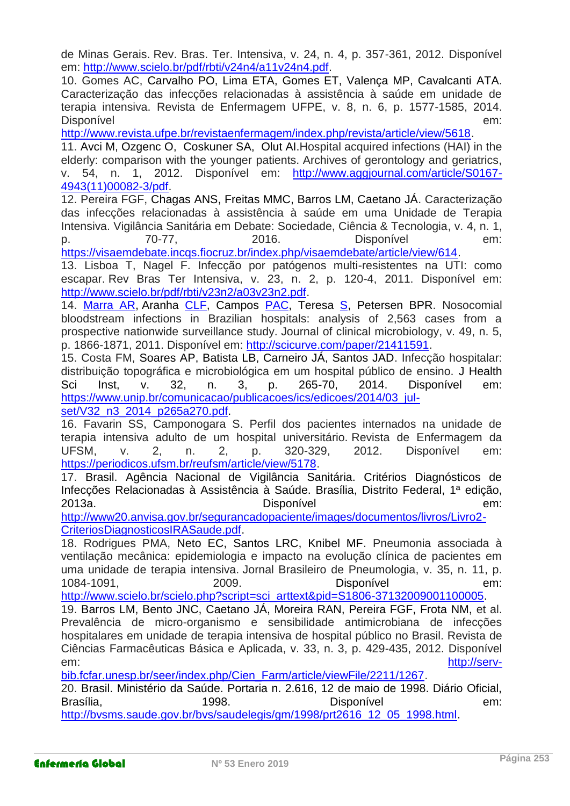de Minas Gerais. Rev. Bras. Ter. Intensiva, v. 24, n. 4, p. 357-361, 2012. Disponível em: [http://www.scielo.br/pdf/rbti/v24n4/a11v24n4.pdf.](http://www.scielo.br/pdf/rbti/v24n4/a11v24n4.pdf)

10. Gomes AC, Carvalho PO, Lima ETA, Gomes ET, Valença MP, Cavalcanti ATA. Caracterização das infecções relacionadas à assistência à saúde em unidade de terapia intensiva. Revista de Enfermagem UFPE, v. 8, n. 6, p. 1577-1585, 2014. Disponível em:

[http://www.revista.ufpe.br/revistaenfermagem/index.php/revista/article/view/5618.](http://www.revista.ufpe.br/revistaenfermagem/index.php/revista/article/view/5618)

11. Avci M, Ozgenc [O,](javascript:void(0);) Coskuner [SA,](javascript:void(0);) Olut AI.Hospital acquired infections (HAI) in the elderly: comparison with the younger patients. Archives of gerontology and geriatrics, v. 54, n. 1, 2012. Disponível em: [http://www.aggjournal.com/article/S0167-](http://www.aggjournal.com/article/S0167-4943(11)00082-3/pdf) [4943\(11\)00082-3/pdf.](http://www.aggjournal.com/article/S0167-4943(11)00082-3/pdf)

12. Pereira FGF, Chagas ANS, Freitas MMC, Barros LM, Caetano JÁ. Caracterização das infecções relacionadas à assistência à saúde em uma Unidade de Terapia Intensiva. Vigilância Sanitária em Debate: Sociedade, Ciência & Tecnologia, v. 4, n. 1, p. 70-77, 2016. Disponível em:

[https://visaemdebate.incqs.fiocruz.br/index.php/visaemdebate/article/view/614.](https://visaemdebate.incqs.fiocruz.br/index.php/visaemdebate/article/view/614)

13. Lisboa T, Nagel F. Infecção por patógenos multi-resistentes na UTI: como escapar. Rev Bras Ter Intensiva, v. 23, n. 2, p. 120-4, 2011. Disponível em: [http://www.scielo.br/pdf/rbti/v23n2/a03v23n2.pdf.](http://www.scielo.br/pdf/rbti/v23n2/a03v23n2.pdf)

14. [Marra AR,](http://scicurve.com/author/Marra%20Alexandre%20R) Aranha [CLF,](http://scicurve.com/author/Camargo%20Luis%20Fernando%20Aranha) Campos [PAC,](http://scicurve.com/author/Pignatari%20Antonio%20Carlos%20Campos) Teresa [S,](http://scicurve.com/author/Sukiennik%20Teresa) Petersen BPR. Nosocomial bloodstream infections in Brazilian hospitals: analysis of 2,563 cases from a prospective nationwide surveillance study. Journal of clinical microbiology, v. 49, n. 5, p. 1866-1871, 2011. Disponível em: [http://scicurve.com/paper/21411591.](http://scicurve.com/paper/21411591)

15. Costa FM, Soares AP, Batista LB, Carneiro JÁ, Santos JAD. Infecção hospitalar: distribuição topográfica e microbiológica em um hospital público de ensino. J Health Sci Inst, v. 32, n. 3, p. 265-70, 2014. Disponível em: [https://www.unip.br/comunicacao/publicacoes/ics/edicoes/2014/03\\_jul-](https://www.unip.br/comunicacao/publicacoes/ics/edicoes/2014/03_jul-set/V32_n3_2014_p265a270.pdf)

[set/V32\\_n3\\_2014\\_p265a270.pdf.](https://www.unip.br/comunicacao/publicacoes/ics/edicoes/2014/03_jul-set/V32_n3_2014_p265a270.pdf)

16. Favarin SS, Camponogara S. Perfil dos pacientes internados na unidade de terapia intensiva adulto de um hospital universitário. Revista de Enfermagem da UFSM, v. 2, n. 2, p. 320-329, 2012. Disponível em: [https://periodicos.ufsm.br/reufsm/article/view/5178.](https://periodicos.ufsm.br/reufsm/article/view/5178)

17. Brasil. Agência Nacional de Vigilância Sanitária. Critérios Diagnósticos de Infecções Relacionadas à Assistência à Saúde. Brasília, Distrito Federal, 1ª edição, 2013a. Disponível em:

[http://www20.anvisa.gov.br/segurancadopaciente/images/documentos/livros/Livro2-](http://www20.anvisa.gov.br/segurancadopaciente/images/documentos/livros/Livro2-CriteriosDiagnosticosIRASaude.pdf) [CriteriosDiagnosticosIRASaude.pdf.](http://www20.anvisa.gov.br/segurancadopaciente/images/documentos/livros/Livro2-CriteriosDiagnosticosIRASaude.pdf)

18. Rodrigues PMA, Neto EC, Santos LRC, Knibel MF. Pneumonia associada à ventilação mecânica: epidemiologia e impacto na evolução clínica de pacientes em uma unidade de terapia intensiva. Jornal Brasileiro de Pneumologia, v. 35, n. 11, p. 1084-1091, 2009. Disponível em:

[http://www.scielo.br/scielo.php?script=sci\\_arttext&pid=S1806-37132009001100005.](http://www.scielo.br/scielo.php?script=sci_arttext&pid=S1806-37132009001100005)

19. Barros LM, Bento JNC, Caetano JÁ, Moreira RAN, Pereira FGF, Frota NM, et al. Prevalência de micro-organismo e sensibilidade antimicrobiana de infecções hospitalares em unidade de terapia intensiva de hospital público no Brasil. Revista de Ciências Farmacêuticas Básica e Aplicada, v. 33, n. 3, p. 429-435, 2012. Disponível em: [http://serv-](http://serv-bib.fcfar.unesp.br/seer/index.php/Cien_Farm/article/viewFile/2211/1267)

[bib.fcfar.unesp.br/seer/index.php/Cien\\_Farm/article/viewFile/2211/1267.](http://serv-bib.fcfar.unesp.br/seer/index.php/Cien_Farm/article/viewFile/2211/1267)

20. Brasil. Ministério da Saúde. Portaria n. 2.616, 12 de maio de 1998. Diário Oficial, Brasília, em: 1998. Disponível em: em: [http://bvsms.saude.gov.br/bvs/saudelegis/gm/1998/prt2616\\_12\\_05\\_1998.html.](http://bvsms.saude.gov.br/bvs/saudelegis/gm/1998/prt2616_12_05_1998.html)